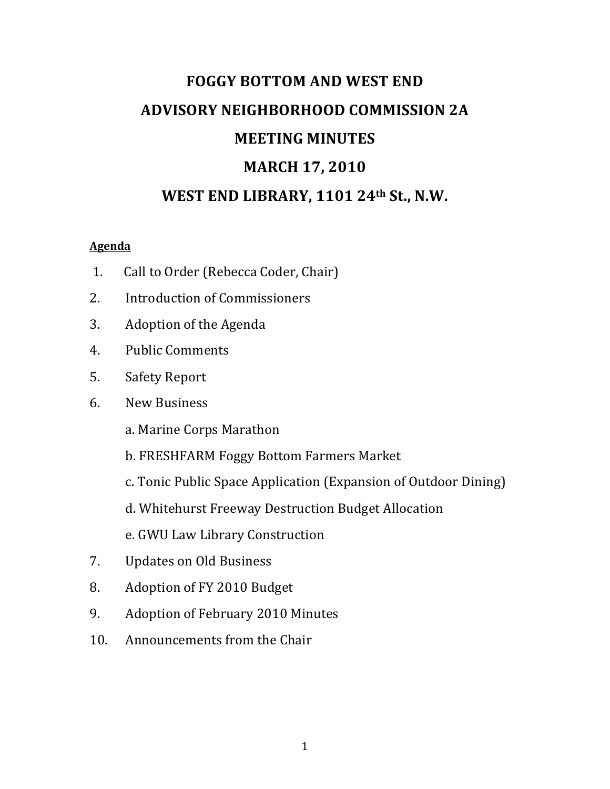# **FOGGY BOTTOM AND WEST END ADVISORY NEIGHBORHOOD COMMISSION 2A MEETING MINUTES MARCH 17, 2010** WEST END LIBRARY, 1101 24<sup>th</sup> St., N.W.

# **Agenda**

- 1. Call to Order (Rebecca Coder, Chair)
- 2. Introduction of Commissioners
- 3. Adoption of the Agenda
- 4. Public Comments
- 5. Safety Report
- 6. New Business
	- a. Marine Corps Marathon
	- b. FRESHFARM Foggy Bottom Farmers Market
	- c. Tonic Public Space Application (Expansion of Outdoor Dining)
	- d. Whitehurst Freeway Destruction Budget Allocation
	- e. GWU Law Library Construction
- 7. Updates on Old Business
- 8. Adoption of FY 2010 Budget
- 9. Adoption of February 2010 Minutes
- 10. Announcements from the Chair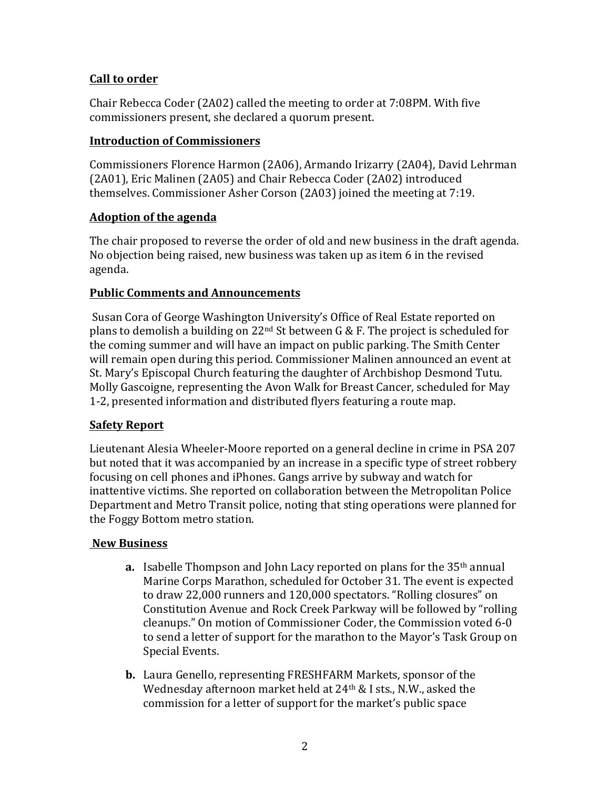# **Call to order**

Chair Rebecca Coder (2A02) called the meeting to order at 7:08PM. With five commissioners present, she declared a quorum present.

#### **Introduction of Commissioners**

Commissioners Florence Harmon (2A06), Armando Irizarry (2A04), David Lehrman (2A01), Eric Malinen (2A05) and Chair Rebecca Coder (2A02) introduced themselves. Commissioner Asher Corson (2A03) joined the meeting at 7:19.

#### **Adoption of the agenda**

The chair proposed to reverse the order of old and new business in the draft agenda. No objection being raised, new business was taken up as item 6 in the revised agenda.

# **Public Comments and Announcements**

Susan Cora of George Washington University's Office of Real Estate reported on plans to demolish a building on 22<sup>nd</sup> St between G & F. The project is scheduled for the coming summer and will have an impact on public parking. The Smith Center will remain open during this period. Commissioner Malinen announced an event at St. Mary's Episcopal Church featuring the daughter of Archbishop Desmond Tutu. Molly Gascoigne, representing the Avon Walk for Breast Cancer, scheduled for May 1-2, presented information and distributed flyers featuring a route map.

# **Safety Report**

Lieutenant Alesia Wheeler-Moore reported on a general decline in crime in PSA 207 but noted that it was accompanied by an increase in a specific type of street robbery focusing on cell phones and iPhones. Gangs arrive by subway and watch for inattentive victims. She reported on collaboration between the Metropolitan Police Department and Metro Transit police, noting that sting operations were planned for the Foggy Bottom metro station.

#### **New Business**

- **a.** Isabelle Thompson and John Lacy reported on plans for the 35<sup>th</sup> annual Marine Corps Marathon, scheduled for October 31. The event is expected to draw 22,000 runners and 120,000 spectators. "Rolling closures" on Constitution Avenue and Rock Creek Parkway will be followed by "rolling" cleanups." On motion of Commissioner Coder, the Commission voted 6-0 to send a letter of support for the marathon to the Mayor's Task Group on Special Events.
- **b.** Laura Genello, representing FRESHFARM Markets, sponsor of the Wednesday afternoon market held at  $24<sup>th</sup>$  & I sts., N.W., asked the commission for a letter of support for the market's public space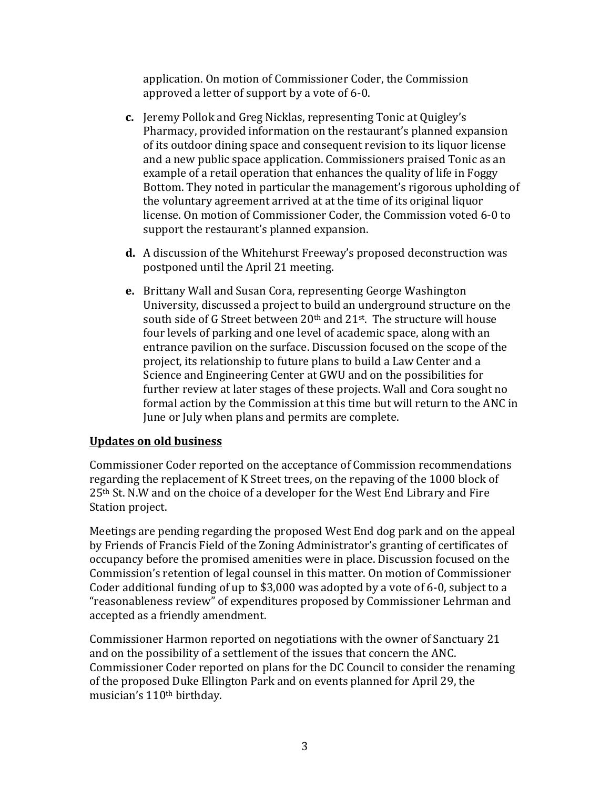application. On motion of Commissioner Coder, the Commission approved a letter of support by a vote of 6-0.

- **c.** Jeremy Pollok and Greg Nicklas, representing Tonic at Quigley's Pharmacy, provided information on the restaurant's planned expansion of its outdoor dining space and consequent revision to its liquor license and a new public space application. Commissioners praised Tonic as an example of a retail operation that enhances the quality of life in Foggy Bottom. They noted in particular the management's rigorous upholding of the voluntary agreement arrived at at the time of its original liquor license. On motion of Commissioner Coder, the Commission voted 6-0 to support the restaurant's planned expansion.
- **d.** A discussion of the Whitehurst Freeway's proposed deconstruction was postponed until the April 21 meeting.
- **e.** Brittany Wall and Susan Cora, representing George Washington University, discussed a project to build an underground structure on the south side of G Street between  $20<sup>th</sup>$  and  $21<sup>st</sup>$ . The structure will house four levels of parking and one level of academic space, along with an entrance pavilion on the surface. Discussion focused on the scope of the project, its relationship to future plans to build a Law Center and a Science and Engineering Center at GWU and on the possibilities for further review at later stages of these projects. Wall and Cora sought no formal action by the Commission at this time but will return to the ANC in June or July when plans and permits are complete.

# **Updates on old business**

Commissioner Coder reported on the acceptance of Commission recommendations regarding the replacement of K Street trees, on the repaving of the 1000 block of 25<sup>th</sup> St. N.W and on the choice of a developer for the West End Library and Fire Station project.

Meetings are pending regarding the proposed West End dog park and on the appeal by Friends of Francis Field of the Zoning Administrator's granting of certificates of occupancy before the promised amenities were in place. Discussion focused on the Commission's retention of legal counsel in this matter. On motion of Commissioner Coder additional funding of up to  $$3,000$  was adopted by a vote of 6-0, subject to a "reasonableness review" of expenditures proposed by Commissioner Lehrman and accepted as a friendly amendment.

Commissioner Harmon reported on negotiations with the owner of Sanctuary 21 and on the possibility of a settlement of the issues that concern the ANC. Commissioner Coder reported on plans for the DC Council to consider the renaming of the proposed Duke Ellington Park and on events planned for April 29, the musician's 110<sup>th</sup> birthday.